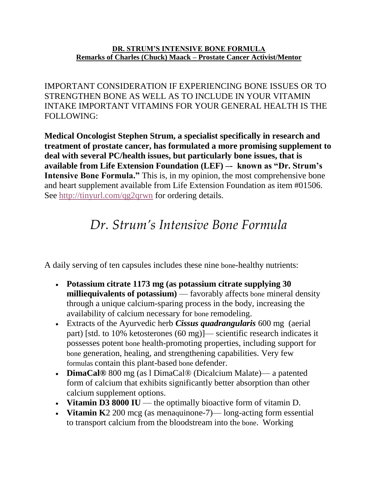## **DR. STRUM'S INTENSIVE BONE FORMULA Remarks of Charles (Chuck) Maack – Prostate Cancer Activist/Mentor**

IMPORTANT CONSIDERATION IF EXPERIENCING BONE ISSUES OR TO STRENGTHEN BONE AS WELL AS TO INCLUDE IN YOUR VITAMIN INTAKE IMPORTANT VITAMINS FOR YOUR GENERAL HEALTH IS THE FOLLOWING:

**Medical Oncologist Stephen Strum, a specialist specifically in research and treatment of prostate cancer, has formulated a more promising supplement to deal with several PC/health issues, but particularly bone issues, that is available from Life Extension Foundation (LEF) –- known as "Dr. Strum's Intensive Bone Formula."** This is, in my opinion, the most comprehensive bone and heart supplement available from Life Extension Foundation as item #01506. See<http://tinyurl.com/qg2qrwn> for ordering details.

## *Dr. Strum's Intensive Bone Formula*

A daily serving of ten capsules includes these nine bone-healthy nutrients:

- **Potassium citrate 1173 mg (as potassium citrate supplying 30 milliequivalents of potassium)** — favorably affects bone mineral density through a unique calcium-sparing process in the body, increasing the availability of calcium necessary for bone remodeling.
- Extracts of the Ayurvedic herb *Cissus quadrangularis* 600 mg (aerial part) [std. to 10% ketosterones (60 mg)]— scientific research indicates it possesses potent bone health-promoting properties, including support for bone generation, healing, and strengthening capabilities. Very few formulas contain this plant-based bone defender.
- **DimaCal®** 800 mg (as l DimaCal® (Dicalcium Malate)— a patented form of calcium that exhibits significantly better absorption than other calcium supplement options.
- **Vitamin D3 8000 IU** the optimally bioactive form of vitamin D.
- **Vitamin K**2 200 mcg (as menaquinone-7)— long-acting form essential to transport calcium from the bloodstream into the bone. Working